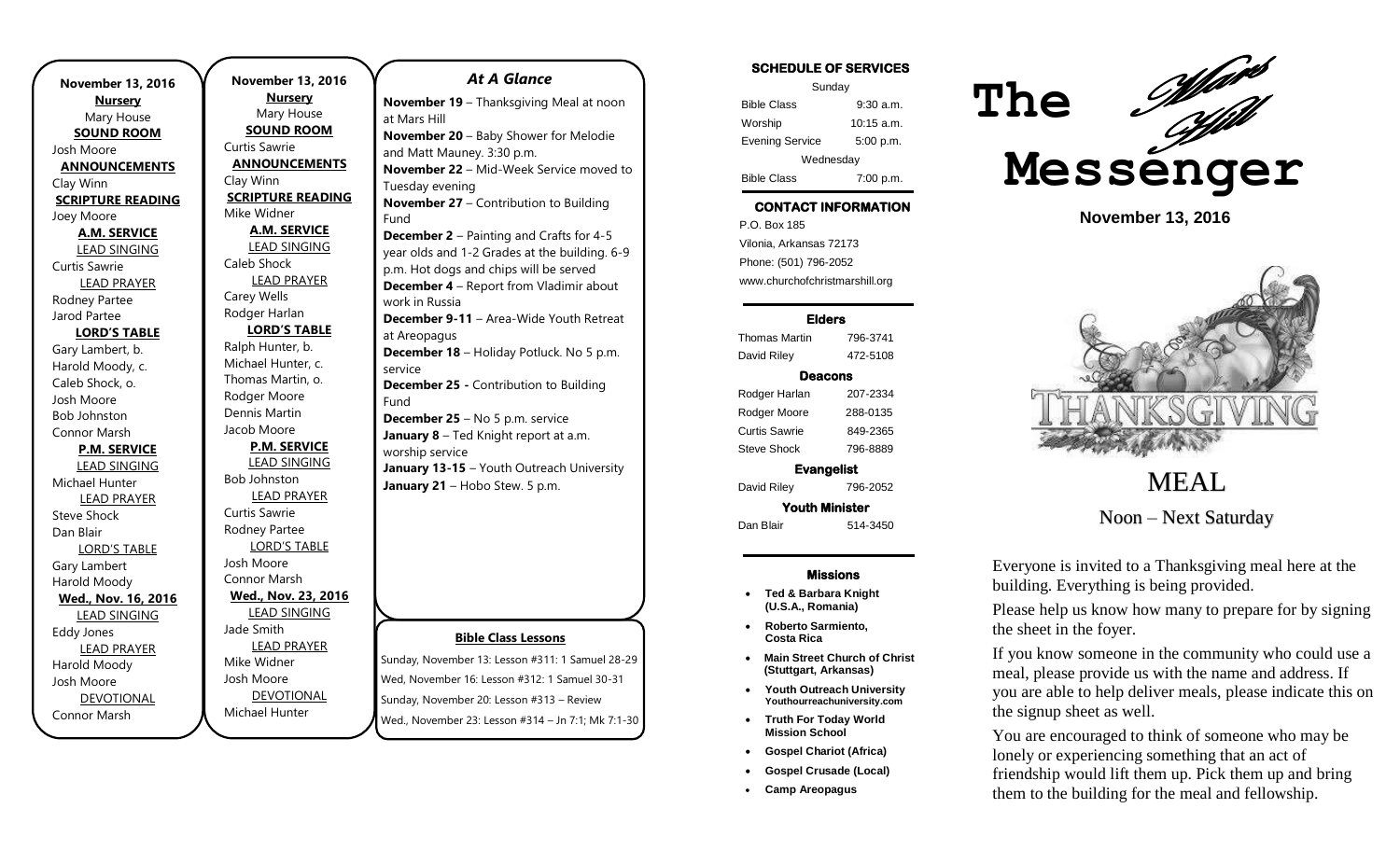**November 13, 2016 Nursery** Mary House **SOUND ROOM** Josh Moore **ANNOUNCEMENTS** Clay Winn **SCRIPTURE READING** Joey Moore **A.M. SERVICE** LEAD SINGING Curtis Sawrie LEAD PRAYER Rodney Partee Jarod Partee **LORD'S TABLE** Gary Lambert, b. Harold Moody, c. Caleb Shock, o. Josh Moore Bob Johnston Connor Marsh **P.M. SERVICE** LEAD SINGING Michael Hunter LEAD PRAYER Steve Shock Dan Blair LORD'S TABLE Gary Lambert Harold Moody **Wed., Nov. 16, 2016** LEAD SINGING Eddy Jones LEAD PRAYER Harold Moody Josh Moore DEVOTIONAL Connor Marsh

**November 13, 2016 Nursery** Mary House **SOUND ROOM** Curtis Sawrie **ANNOUNCEMENTS** Clay Winn **SCRIPTURE READING** Mike Widner **A.M. SERVICE** LEAD SINGING Caleb Shock LEAD PRAYER Carey Wells Rodger Harlan **LORD'S TABLE** Ralph Hunter, b. Michael Hunter, c. Thomas Martin, o. Rodger Moore Dennis Martin Jacob Moore **P.M. SERVICE** LEAD SINGING Bob Johnston LEAD PRAYER Curtis Sawrie Rodney Partee LORD'S TABLE Josh Moore Connor Marsh **Wed., Nov. 23, 2016** LEAD SINGING Jade Smith LEAD PRAYER Mike Widner Josh Moore DEVOTIONAL

Michael Hunter

### *At A Glance*

**November 19** – Thanksgiving Meal at noon at Mars Hill **November 20** – Baby Shower for Melodie and Matt Mauney. 3:30 p.m. **November 22** – Mid-Week Service moved to Tuesday evening **November 27** – Contribution to Building Fund **December 2** – Painting and Crafts for 4-5 year olds and 1-2 Grades at the building. 6-9 p.m. Hot dogs and chips will be served **December 4** – Report from Vladimir about work in Russia **December 9-11** – Area-Wide Youth Retreat at Areopagus **December 18** – Holiday Potluck. No 5 p.m. service **December 25 -** Contribution to Building Fund **December 25** – No 5 p.m. service **January 8** – Ted Knight report at a.m. worship service **January 13-15** – Youth Outreach University January 13-13 – Youth Outleach Oniversity<br>January 21 – Hobo Stew. 5 p.m. **MEAL** 

### **Bible Class Lessons**

Sunday, November 13: Lesson #311: 1 Samuel 28-29 Wed, November 16: Lesson #312: 1 Samuel 30-31 Sunday, November 20: Lesson #313 – Review Wed., November 23: Lesson #314 – Jn 7:1; Mk 7:1-30

### **SCHEDULE OF SERVICES**

| Sunday                 |              |
|------------------------|--------------|
| <b>Bible Class</b>     | 9:30a.m.     |
| Worship                | $10:15$ a.m. |
| <b>Evening Service</b> | 5:00 p.m.    |
| Wednesday              |              |
| <b>Bible Class</b>     | 7:00 p.m.    |

## **CONTACT INFORMATION**

. .o. Bex ree<br>Vilonia, Arkansas 72173 P.O. Box 185 Phone: (501) 796-2052 www.churchofchristmarshill.org

#### **Elders**

Thomas Martin 796-3741 David Riley 472-5108

### **Deacons**

Rodger Harlan 207-2334 Rodger Moore 288-0135 Curtis Sawrie 849-2365 Steve Shock 796-8889

**Evangelist**  David Riley 796-2052 **Youth Minister** 

Dan Blair 514-3450

#### **Missions**

- **Ted & Barbara Knight (U.S.A., Romania)**
- **Roberto Sarmiento, Costa Rica**
- **Main Street Church of Christ (Stuttgart, Arkansas)**
- **Youth Outreach University Youthourreachuniversity.com**
- **Truth For Today World Mission School**
- **Gospel Chariot (Africa)**
- **Gospel Crusade (Local)**
- **Camp Areopagus**



**November 13, 2016**



Noon – Next Saturday

Everyone is invited to a Thanksgiving meal here at the building. Everything is being provided.

Please help us know how many to prepare for by signing the sheet in the foyer.

If you know someone in the community who could use a meal, please provide us with the name and address. If you are able to help deliver meals, please indicate this on the signup sheet as well.

You are encouraged to think of someone who may be lonely or experiencing something that an act of friendship would lift them up. Pick them up and bring them to the building for the meal and fellowship.